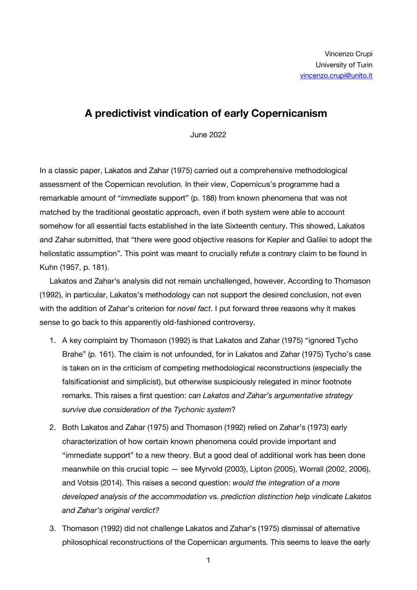## **A predictivist vindication of early Copernicanism**

June 2022

In a classic paper, Lakatos and Zahar (1975) carried out a comprehensive methodological assessment of the Copernican revolution. In their view, Copernicus's programme had a remarkable amount of "*immediate* support" (p. 188) from known phenomena that was not matched by the traditional geostatic approach, even if both system were able to account somehow for all essential facts established in the late Sixteenth century. This showed, Lakatos and Zahar submitted, that "there were good objective reasons for Kepler and Galilei to adopt the heliostatic assumption". This point was meant to crucially refute a contrary claim to be found in Kuhn (1957, p. 181).

Lakatos and Zahar's analysis did not remain unchallenged, however. According to Thomason (1992), in particular, Lakatos's methodology can not support the desired conclusion, not even with the addition of Zahar's criterion for *novel fact*. I put forward three reasons why it makes sense to go back to this apparently old-fashioned controversy.

- 1. A key complaint by Thomason (1992) is that Lakatos and Zahar (1975) "ignored Tycho Brahe" (p. 161). The claim is not unfounded, for in Lakatos and Zahar (1975) Tycho's case is taken on in the criticism of competing methodological reconstructions (especially the falsificationist and simplicist), but otherwise suspiciously relegated in minor footnote remarks. This raises a first question: *can Lakatos and Zahar's argumentative strategy survive due consideration of the Tychonic system*?
- 2. Both Lakatos and Zahar (1975) and Thomason (1992) relied on Zahar's (1973) early characterization of how certain known phenomena could provide important and "immediate support" to a new theory. But a good deal of additional work has been done meanwhile on this crucial topic — see Myrvold (2003), Lipton (2005), Worrall (2002, 2006), and Votsis (2014). This raises a second question: *would the integration of a more developed analysis of the accommodation* vs. *prediction distinction help vindicate Lakatos and Zahar's original verdict?*
- 3. Thomason (1992) did not challenge Lakatos and Zahar's (1975) dismissal of alternative philosophical reconstructions of the Copernican arguments. This seems to leave the early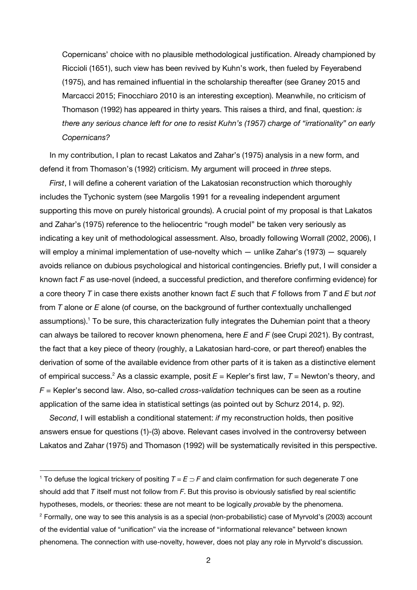Copernicans' choice with no plausible methodological justification. Already championed by Riccioli (1651), such view has been revived by Kuhn's work, then fueled by Feyerabend (1975), and has remained influential in the scholarship thereafter (see Graney 2015 and Marcacci 2015; Finocchiaro 2010 is an interesting exception). Meanwhile, no criticism of Thomason (1992) has appeared in thirty years. This raises a third, and final, question: *is there any serious chance left for one to resist Kuhn's (1957) charge of "irrationality" on early Copernicans?*

In my contribution, I plan to recast Lakatos and Zahar's (1975) analysis in a new form, and defend it from Thomason's (1992) criticism. My argument will proceed in *three* steps.

*First*, I will define a coherent variation of the Lakatosian reconstruction which thoroughly includes the Tychonic system (see Margolis 1991 for a revealing independent argument supporting this move on purely historical grounds). A crucial point of my proposal is that Lakatos and Zahar's (1975) reference to the heliocentric "rough model" be taken very seriously as indicating a key unit of methodological assessment. Also, broadly following Worrall (2002, 2006), I will employ a minimal implementation of use-novelty which — unlike Zahar's (1973) — squarely avoids reliance on dubious psychological and historical contingencies. Briefly put, I will consider a known fact *F* as use-novel (indeed, a successful prediction, and therefore confirming evidence) for a core theory *T* in case there exists another known fact *E* such that *F* follows from *T* and *E* but *not* from *T* alone or *E* alone (of course, on the background of further contextually unchallenged assumptions).<sup>1</sup> To be sure, this characterization fully integrates the Duhemian point that a theory can always be tailored to recover known phenomena, here *E* and *F* (see Crupi 2021). By contrast, the fact that a key piece of theory (roughly, a Lakatosian hard-core, or part thereof) enables the derivation of some of the available evidence from other parts of it is taken as a distinctive element of empirical success.2 As a classic example, posit *E* = Kepler's first law, *T* = Newton's theory, and *F* = Kepler's second law. Also, so-called *cross-validation* techniques can be seen as a routine application of the same idea in statistical settings (as pointed out by Schurz 2014, p. 92).

*Second*, I will establish a conditional statement: *if* my reconstruction holds, then positive answers ensue for questions (1)-(3) above. Relevant cases involved in the controversy between Lakatos and Zahar (1975) and Thomason (1992) will be systematically revisited in this perspective.

 $\overline{a}$ 

<sup>&</sup>lt;sup>1</sup> To defuse the logical trickery of positing  $T = E \supset F$  and claim confirmation for such degenerate *T* one should add that *T* itself must not follow from *F*. But this proviso is obviously satisfied by real scientific hypotheses, models, or theories: these are not meant to be logically *provable* by the phenomena.

<sup>2</sup> Formally, one way to see this analysis is as a special (non-probabilistic) case of Myrvold's (2003) account of the evidential value of "unification" via the increase of "informational relevance" between known phenomena. The connection with use-novelty, however, does not play any role in Myrvold's discussion.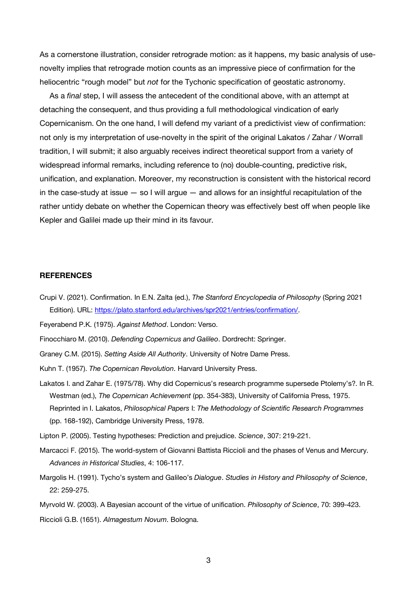As a cornerstone illustration, consider retrograde motion: as it happens, my basic analysis of usenovelty implies that retrograde motion counts as an impressive piece of confirmation for the heliocentric "rough model" but *not* for the Tychonic specification of geostatic astronomy.

As a *final* step, I will assess the antecedent of the conditional above, with an attempt at detaching the consequent, and thus providing a full methodological vindication of early Copernicanism. On the one hand, I will defend my variant of a predictivist view of confirmation: not only is my interpretation of use-novelty in the spirit of the original Lakatos / Zahar / Worrall tradition, I will submit; it also arguably receives indirect theoretical support from a variety of widespread informal remarks, including reference to (no) double-counting, predictive risk, unification, and explanation. Moreover, my reconstruction is consistent with the historical record in the case-study at issue  $-$  so I will argue  $-$  and allows for an insightful recapitulation of the rather untidy debate on whether the Copernican theory was effectively best off when people like Kepler and Galilei made up their mind in its favour.

## **REFERENCES**

Crupi V. (2021). Confirmation. In E.N. Zalta (ed.), *The Stanford Encyclopedia of Philosophy* (Spring 2021 Edition). URL: https://plato.stanford.edu/archives/spr2021/entries/confirmation/.

Feyerabend P.K. (1975). *Against Method*. London: Verso.

Finocchiaro M. (2010). *Defending Copernicus and Galileo*. Dordrecht: Springer.

- Graney C.M. (2015). *Setting Aside All Authority*. University of Notre Dame Press.
- Kuhn T. (1957). *The Copernican Revolution*. Harvard University Press.
- Lakatos I. and Zahar E. (1975/78). Why did Copernicus's research programme supersede Ptolemy's?. In R. Westman (ed.), *The Copernican Achievement* (pp. 354-383), University of California Press, 1975. Reprinted in I. Lakatos, *Philosophical Papers* I: *The Methodology of Scientific Research Programmes*  (pp. 168-192), Cambridge University Press, 1978.

Lipton P. (2005). Testing hypotheses: Prediction and prejudice. *Science*, 307: 219-221.

- Marcacci F. (2015). The world-system of Giovanni Battista Riccioli and the phases of Venus and Mercury. *Advances in Historical Studies*, 4: 106-117.
- Margolis H. (1991). Tycho's system and Galileo's *Dialogue*. *Studies in History and Philosophy of Science*, 22: 259-275.
- Myrvold W. (2003). A Bayesian account of the virtue of unification. *Philosophy of Science*, 70: 399-423.

Riccioli G.B. (1651). *Almagestum Novum*. Bologna.